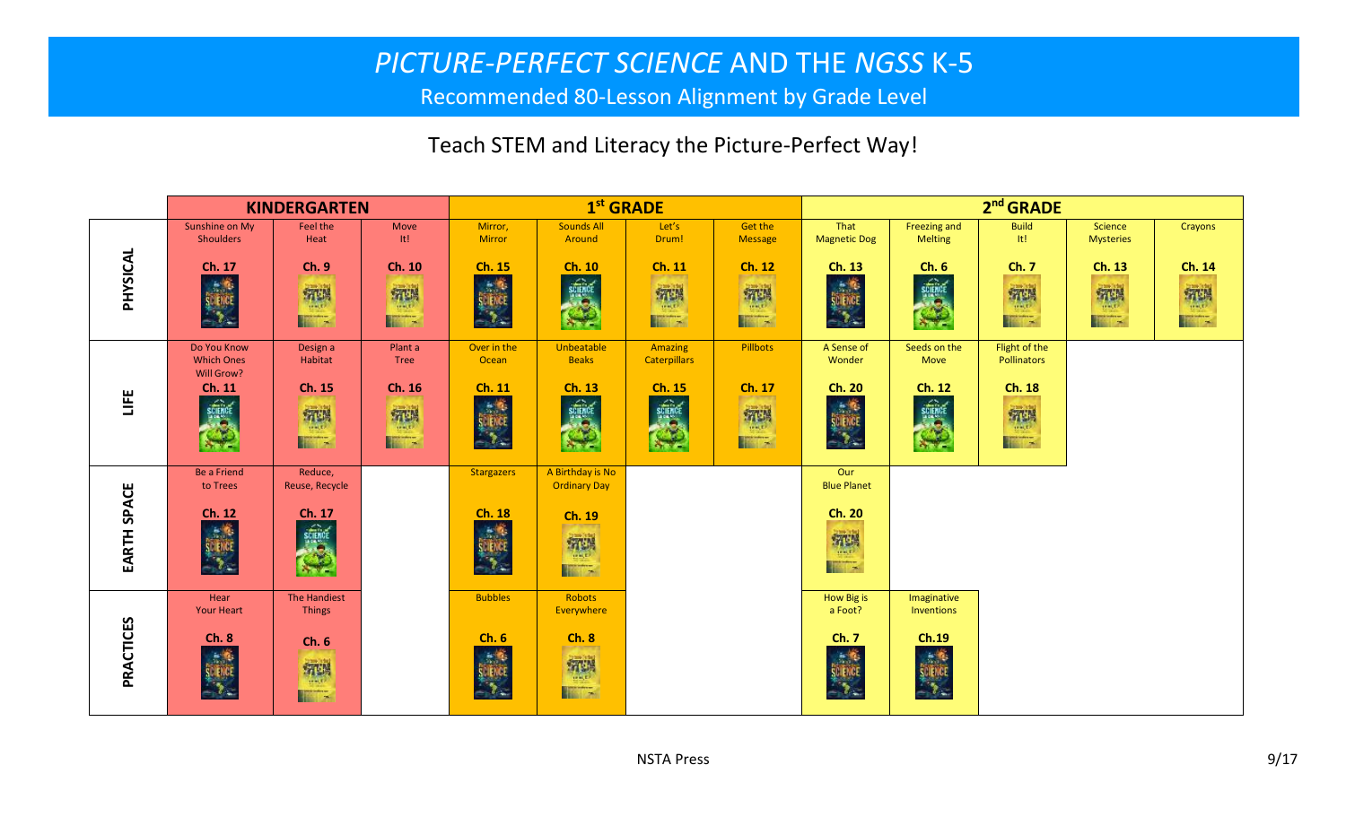## *PICTURE-PERFECT SCIENCE* AND THE *NGSS* K-5

Recommended 80-Lesson Alignment by Grade Level

## Teach STEM and Literacy the Picture-Perfect Way!